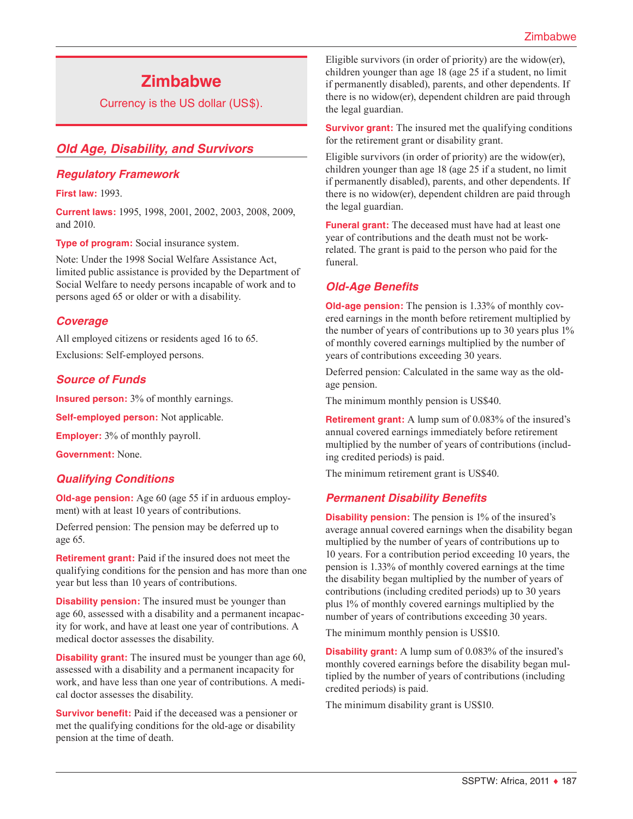# **Zimbabwe**

Currency is the US dollar (US\$).

# *Old Age, Disability, and Survivors*

# *Regulatory Framework*

**First law:** 1993.

**Current laws:** 1995, 1998, 2001, 2002, 2003, 2008, 2009, and 2010.

**Type of program:** Social insurance system.

Note: Under the 1998 Social Welfare Assistance Act, limited public assistance is provided by the Department of Social Welfare to needy persons incapable of work and to persons aged 65 or older or with a disability.

# *Coverage*

All employed citizens or residents aged 16 to 65. Exclusions: Self-employed persons.

# *Source of Funds*

**Insured person:** 3% of monthly earnings.

**Self-employed person:** Not applicable.

**Employer:** 3% of monthly payroll.

**Government:** None.

# *Qualifying Conditions*

**Old-age pension:** Age 60 (age 55 if in arduous employment) with at least 10 years of contributions.

Deferred pension: The pension may be deferred up to age 65.

**Retirement grant:** Paid if the insured does not meet the qualifying conditions for the pension and has more than one year but less than 10 years of contributions.

**Disability pension:** The insured must be younger than age 60, assessed with a disability and a permanent incapacity for work, and have at least one year of contributions. A medical doctor assesses the disability.

**Disability grant:** The insured must be younger than age 60, assessed with a disability and a permanent incapacity for work, and have less than one year of contributions. A medical doctor assesses the disability.

**Survivor benefit:** Paid if the deceased was a pensioner or met the qualifying conditions for the old-age or disability pension at the time of death.

Eligible survivors (in order of priority) are the widow(er), children younger than age 18 (age 25 if a student, no limit if permanently disabled), parents, and other dependents. If there is no widow(er), dependent children are paid through the legal guardian.

**Survivor grant:** The insured met the qualifying conditions for the retirement grant or disability grant.

Eligible survivors (in order of priority) are the widow(er), children younger than age 18 (age 25 if a student, no limit if permanently disabled), parents, and other dependents. If there is no widow(er), dependent children are paid through the legal guardian.

**Funeral grant:** The deceased must have had at least one year of contributions and the death must not be workrelated. The grant is paid to the person who paid for the funeral.

# *Old-Age Benefits*

**Old-age pension:** The pension is 1.33% of monthly covered earnings in the month before retirement multiplied by the number of years of contributions up to 30 years plus 1% of monthly covered earnings multiplied by the number of years of contributions exceeding 30 years.

Deferred pension: Calculated in the same way as the oldage pension.

The minimum monthly pension is US\$40.

**Retirement grant:** A lump sum of 0.083% of the insured's annual covered earnings immediately before retirement multiplied by the number of years of contributions (including credited periods) is paid.

The minimum retirement grant is US\$40.

# *Permanent Disability Benefits*

**Disability pension:** The pension is 1% of the insured's average annual covered earnings when the disability began multiplied by the number of years of contributions up to 10 years. For a contribution period exceeding 10 years, the pension is 1.33% of monthly covered earnings at the time the disability began multiplied by the number of years of contributions (including credited periods) up to 30 years plus 1% of monthly covered earnings multiplied by the number of years of contributions exceeding 30 years.

The minimum monthly pension is US\$10.

**Disability grant:** A lump sum of 0.083% of the insured's monthly covered earnings before the disability began multiplied by the number of years of contributions (including credited periods) is paid.

The minimum disability grant is US\$10.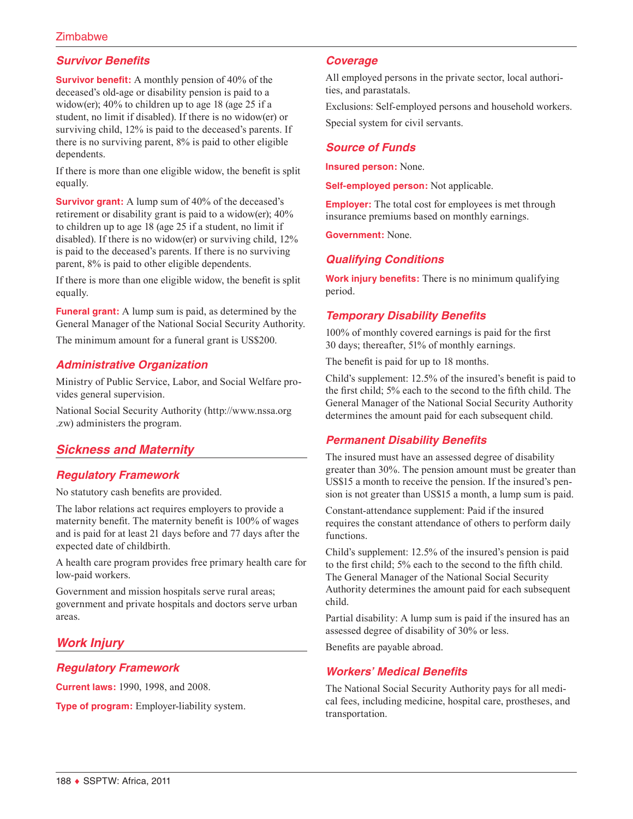# **Zimbabwe**

# *Survivor Benefits*

**Survivor benefit:** A monthly pension of 40% of the deceased's old-age or disability pension is paid to a widow(er); 40% to children up to age 18 (age 25 if a student, no limit if disabled). If there is no widow(er) or surviving child, 12% is paid to the deceased's parents. If there is no surviving parent, 8% is paid to other eligible dependents.

If there is more than one eligible widow, the benefit is split equally.

**Survivor grant:** A lump sum of 40% of the deceased's retirement or disability grant is paid to a widow(er); 40% to children up to age 18 (age 25 if a student, no limit if disabled). If there is no widow(er) or surviving child, 12% is paid to the deceased's parents. If there is no surviving parent, 8% is paid to other eligible dependents.

If there is more than one eligible widow, the benefit is split equally.

**Funeral grant:** A lump sum is paid, as determined by the General Manager of the National Social Security Authority.

The minimum amount for a funeral grant is US\$200.

# *Administrative Organization*

Ministry of Public Service, Labor, and Social Welfare provides general supervision.

National Social Security Authority ([http://www.nssa.org](http://www.nssa.org.zw) [.zw\)](http://www.nssa.org.zw) administers the program.

# *Sickness and Maternity*

#### *Regulatory Framework*

No statutory cash benefits are provided.

The labor relations act requires employers to provide a maternity benefit. The maternity benefit is 100% of wages and is paid for at least 21 days before and 77 days after the expected date of childbirth.

A health care program provides free primary health care for low-paid workers.

Government and mission hospitals serve rural areas; government and private hospitals and doctors serve urban areas.

# *Work Injury*

# *Regulatory Framework*

**Current laws:** 1990, 1998, and 2008.

**Type of program:** Employer-liability system.

#### *Coverage*

All employed persons in the private sector, local authorities, and parastatals.

Exclusions: Self-employed persons and household workers. Special system for civil servants.

### *Source of Funds*

**Insured person:** None.

**Self-employed person:** Not applicable.

**Employer:** The total cost for employees is met through insurance premiums based on monthly earnings.

**Government:** None.

# *Qualifying Conditions*

**Work injury benefits:** There is no minimum qualifying period.

# *Temporary Disability Benefits*

100% of monthly covered earnings is paid for the first 30 days; thereafter, 51% of monthly earnings.

The benefit is paid for up to 18 months.

Child's supplement: 12.5% of the insured's benefit is paid to the first child; 5% each to the second to the fifth child. The General Manager of the National Social Security Authority determines the amount paid for each subsequent child.

# *Permanent Disability Benefits*

The insured must have an assessed degree of disability greater than 30%. The pension amount must be greater than US\$15 a month to receive the pension. If the insured's pension is not greater than US\$15 a month, a lump sum is paid.

Constant-attendance supplement: Paid if the insured requires the constant attendance of others to perform daily functions.

Child's supplement: 12.5% of the insured's pension is paid to the first child; 5% each to the second to the fifth child. The General Manager of the National Social Security Authority determines the amount paid for each subsequent child.

Partial disability: A lump sum is paid if the insured has an assessed degree of disability of 30% or less.

Benefits are payable abroad.

#### *Workers' Medical Benefits*

The National Social Security Authority pays for all medical fees, including medicine, hospital care, prostheses, and transportation.